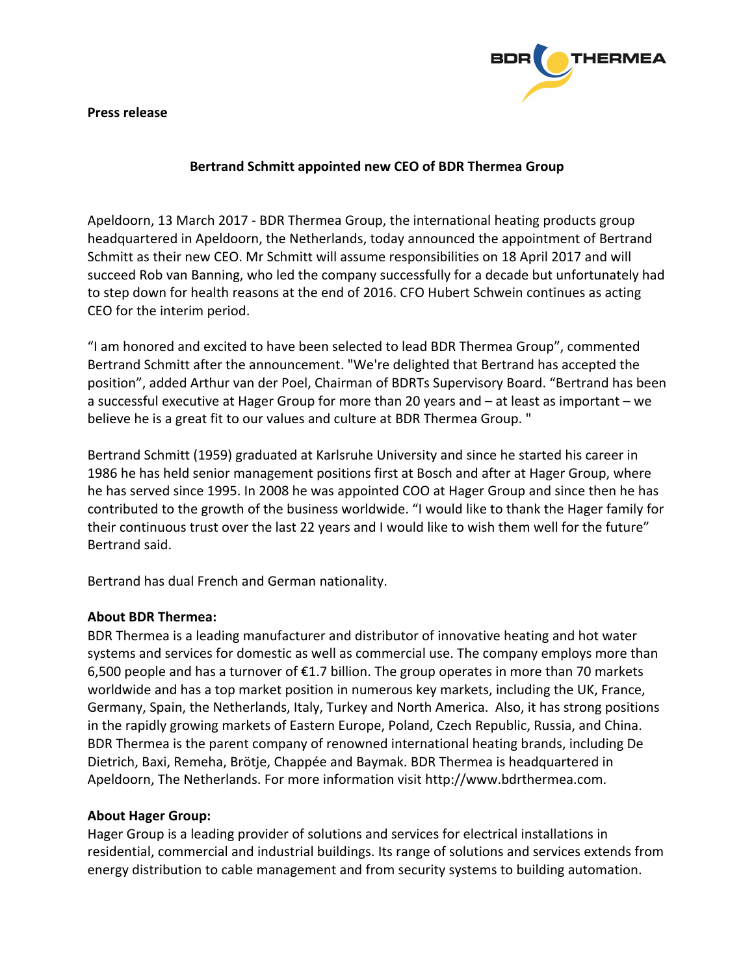**Press release**



## **Bertrand Schmitt appointed new CEO of BDR Thermea Group**

Apeldoorn, 13 March 2017 - BDR Thermea Group, the international heating products group headquartered in Apeldoorn, the Netherlands, today announced the appointment of Bertrand Schmitt as their new CEO. Mr Schmitt will assume responsibilities on 18 April 2017 and will succeed Rob van Banning, who led the company successfully for a decade but unfortunately had to step down for health reasons at the end of 2016. CFO Hubert Schwein continues as acting CEO for the interim period.

"I am honored and excited to have been selected to lead BDR Thermea Group", commented Bertrand Schmitt after the announcement. "We're delighted that Bertrand has accepted the position", added Arthur van der Poel, Chairman of BDRTs Supervisory Board. "Bertrand has been a successful executive at Hager Group for more than 20 years and – at least as important – we believe he is a great fit to our values and culture at BDR Thermea Group. "

Bertrand Schmitt (1959) graduated at Karlsruhe University and since he started his career in 1986 he has held senior management positions first at Bosch and after at Hager Group, where he has served since 1995. In 2008 he was appointed COO at Hager Group and since then he has contributed to the growth of the business worldwide. "I would like to thank the Hager family for their continuous trust over the last 22 years and I would like to wish them well for the future" Bertrand said.

Bertrand has dual French and German nationality.

## **About BDR Thermea:**

BDR Thermea is a leading manufacturer and distributor of innovative heating and hot water systems and services for domestic as well as commercial use. The company employs more than 6,500 people and has a turnover of  $E1.7$  billion. The group operates in more than 70 markets worldwide and has a top market position in numerous key markets, including the UK, France, Germany, Spain, the Netherlands, Italy, Turkey and North America. Also, it has strong positions in the rapidly growing markets of Eastern Europe, Poland, Czech Republic, Russia, and China. BDR Thermea is the parent company of renowned international heating brands, including De Dietrich, Baxi, Remeha, Brötje, Chappée and Baymak. BDR Thermea is headquartered in Apeldoorn, The Netherlands. For more information visit http://www.bdrthermea.com.

## **About Hager Group:**

Hager Group is a leading provider of solutions and services for electrical installations in residential, commercial and industrial buildings. Its range of solutions and services extends from energy distribution to cable management and from security systems to building automation.